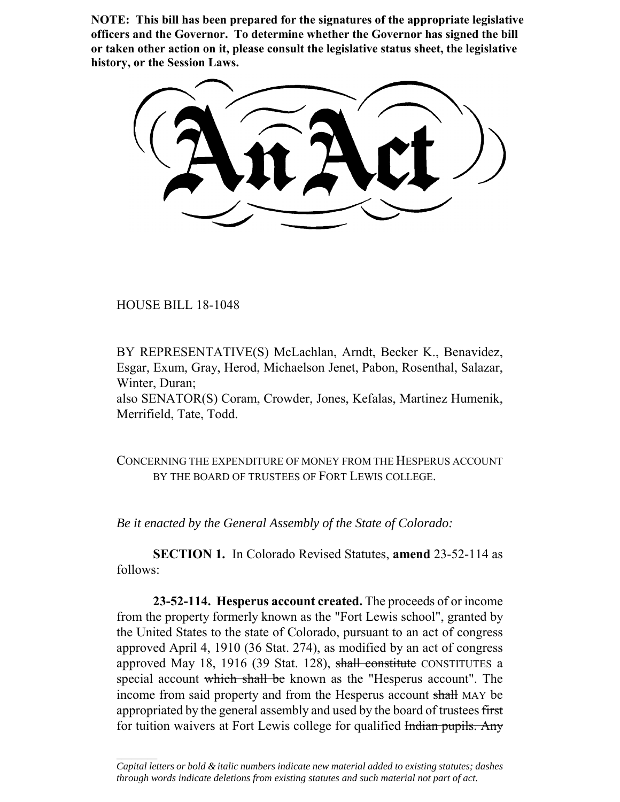**NOTE: This bill has been prepared for the signatures of the appropriate legislative officers and the Governor. To determine whether the Governor has signed the bill or taken other action on it, please consult the legislative status sheet, the legislative history, or the Session Laws.**

HOUSE BILL 18-1048

 $\frac{1}{2}$ 

BY REPRESENTATIVE(S) McLachlan, Arndt, Becker K., Benavidez, Esgar, Exum, Gray, Herod, Michaelson Jenet, Pabon, Rosenthal, Salazar, Winter, Duran;

also SENATOR(S) Coram, Crowder, Jones, Kefalas, Martinez Humenik, Merrifield, Tate, Todd.

CONCERNING THE EXPENDITURE OF MONEY FROM THE HESPERUS ACCOUNT BY THE BOARD OF TRUSTEES OF FORT LEWIS COLLEGE.

*Be it enacted by the General Assembly of the State of Colorado:*

**SECTION 1.** In Colorado Revised Statutes, **amend** 23-52-114 as follows:

**23-52-114. Hesperus account created.** The proceeds of or income from the property formerly known as the "Fort Lewis school", granted by the United States to the state of Colorado, pursuant to an act of congress approved April 4, 1910 (36 Stat. 274), as modified by an act of congress approved May 18, 1916 (39 Stat. 128), shall constitute CONSTITUTES a special account which shall be known as the "Hesperus account". The income from said property and from the Hesperus account shall MAY be appropriated by the general assembly and used by the board of trustees first for tuition waivers at Fort Lewis college for qualified Indian pupils. Any

*Capital letters or bold & italic numbers indicate new material added to existing statutes; dashes through words indicate deletions from existing statutes and such material not part of act.*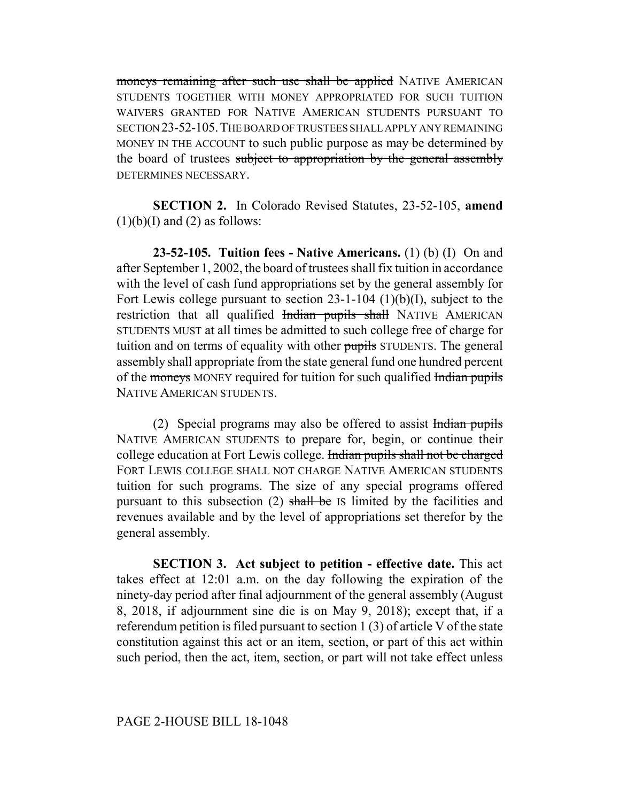moneys remaining after such use shall be applied NATIVE AMERICAN STUDENTS TOGETHER WITH MONEY APPROPRIATED FOR SUCH TUITION WAIVERS GRANTED FOR NATIVE AMERICAN STUDENTS PURSUANT TO SECTION 23-52-105.THE BOARD OF TRUSTEES SHALL APPLY ANY REMAINING MONEY IN THE ACCOUNT to such public purpose as may be determined by the board of trustees subject to appropriation by the general assembly DETERMINES NECESSARY.

**SECTION 2.** In Colorado Revised Statutes, 23-52-105, **amend**  $(1)(b)(I)$  and  $(2)$  as follows:

**23-52-105. Tuition fees - Native Americans.** (1) (b) (I) On and after September 1, 2002, the board of trustees shall fix tuition in accordance with the level of cash fund appropriations set by the general assembly for Fort Lewis college pursuant to section 23-1-104 (1)(b)(I), subject to the restriction that all qualified Indian pupils shall NATIVE AMERICAN STUDENTS MUST at all times be admitted to such college free of charge for tuition and on terms of equality with other pupils STUDENTS. The general assembly shall appropriate from the state general fund one hundred percent of the moneys MONEY required for tuition for such qualified Indian pupils NATIVE AMERICAN STUDENTS.

(2) Special programs may also be offered to assist  $\frac{1}{\text{hdiam}}$  pupils NATIVE AMERICAN STUDENTS to prepare for, begin, or continue their college education at Fort Lewis college. Indian pupils shall not be charged FORT LEWIS COLLEGE SHALL NOT CHARGE NATIVE AMERICAN STUDENTS tuition for such programs. The size of any special programs offered pursuant to this subsection (2) shall be IS limited by the facilities and revenues available and by the level of appropriations set therefor by the general assembly.

**SECTION 3. Act subject to petition - effective date.** This act takes effect at 12:01 a.m. on the day following the expiration of the ninety-day period after final adjournment of the general assembly (August 8, 2018, if adjournment sine die is on May 9, 2018); except that, if a referendum petition is filed pursuant to section 1 (3) of article V of the state constitution against this act or an item, section, or part of this act within such period, then the act, item, section, or part will not take effect unless